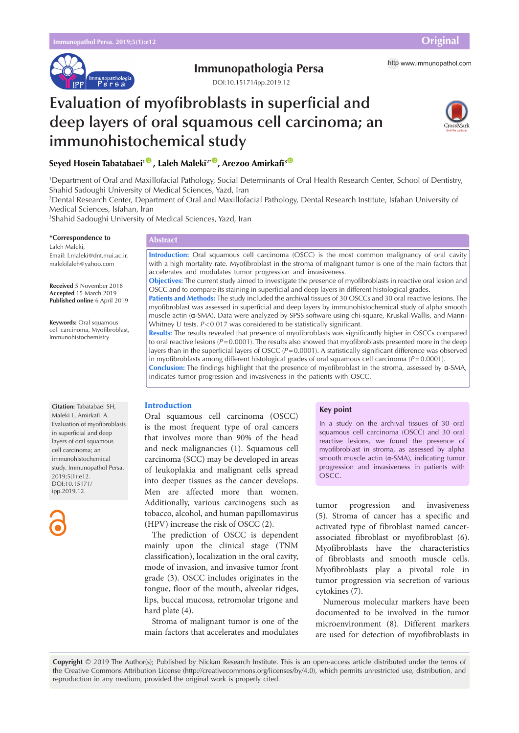

# **Immunopathologia Persa** http [www.immunopathol.com](http://www.immunopathol.com)

DOI[:10.15171/ipp.2019.12](https://doi.org/10.15171/ipp.2019.12)

# **Evaluation of myofibroblasts in superficial and deep layers of oral squamous cell carcinoma; an immunohistochemical study**



**Seyed Hosein Tabatabaei<sup>1</sup><sup>®</sup>, Laleh Maleki<sup>2\*®</sup>, Arezoo Amirkafi<sup>3</sup><sup>®</sup>** 

1 Department of Oral and Maxillofacial Pathology, Social Determinants of Oral Health Research Center, School of Dentistry, Shahid Sadoughi University of Medical Sciences, Yazd, Iran

2 Dental Research Center, Department of Oral and Maxillofacial Pathology, Dental Research Institute, Isfahan University of Medical Sciences, Isfahan, Iran

3 Shahid Sadoughi University of Medical Sciences, Yazd, Iran

**\*Correspondence to**

Laleh Maleki, Email: l.maleki@dnt.mui.ac.ir, malekilaleh@yahoo.com

**Received** 5 November 2018 **Accepted** 15 March 2019 **Published online** 6 April 2019

**Keywords:** Oral squamous cell carcinoma, Myofibroblast, Immunohistochemistry

# **Abstract**

**Introduction:** Oral squamous cell carcinoma (OSCC) is the most common malignancy of oral cavity with a high mortality rate. Myofibroblast in the stroma of malignant tumor is one of the main factors that accelerates and modulates tumor progression and invasiveness.

**Objectives:** The current study aimed to investigate the presence of myofibroblasts in reactive oral lesion and OSCC and to compare its staining in superficial and deep layers in different histological grades.

**Patients and Methods:** The study included the archival tissues of 30 OSCCs and 30 oral reactive lesions. The myofibroblast was assessed in superficial and deep layers by immunohistochemical study of alpha smooth muscle actin (α-SMA). Data were analyzed by SPSS software using chi-square, Kruskal-Wallis, and Mann-Whitney U tests.  $P < 0.017$  was considered to be statistically significant.

**Results:** The results revealed that presence of myofibroblasts was significantly higher in OSCCs compared to oral reactive lesions ( $P=0.0001$ ). The results also showed that myofibroblasts presented more in the deep layers than in the superficial layers of OSCC (*P*=0.0001). A statistically significant difference was observed in myofibroblasts among different histological grades of oral squamous cell carcinoma (*P*=0.0001). **Conclusion:** The findings highlight that the presence of myofibroblast in the stroma, assessed by α-SMA, indicates tumor progression and invasiveness in the patients with OSCC.

# **Introduction**

Oral squamous cell carcinoma (OSCC) is the most frequent type of oral cancers that involves more than 90% of the head and neck malignancies (1). Squamous cell carcinoma (SCC) may be developed in areas of leukoplakia and malignant cells spread into deeper tissues as the cancer develops. Men are affected more than women. Additionally, various carcinogens such as tobacco, alcohol, and human papillomavirus (HPV) increase the risk of OSCC (2).

The prediction of OSCC is dependent mainly upon the clinical stage (TNM classification), localization in the oral cavity, mode of invasion, and invasive tumor front grade (3). OSCC includes originates in the tongue, floor of the mouth, alveolar ridges, lips, buccal mucosa, retromolar trigone and hard plate (4).

Stroma of malignant tumor is one of the main factors that accelerates and modulates

### **Key point**

In a study on the archival tissues of 30 oral squamous cell carcinoma (OSCC) and 30 oral reactive lesions, we found the presence of myofibroblast in stroma, as assessed by alpha smooth muscle actin (α-SMA), indicating tumor progression and invasiveness in patients with OSCC.

tumor progression and invasiveness (5). Stroma of cancer has a specific and activated type of fibroblast named cancerassociated fibroblast or myofibroblast (6). Myofibroblasts have the characteristics of fibroblasts and smooth muscle cells. Myofibroblasts play a pivotal role in tumor progression via secretion of various cytokines (7).

Numerous molecular markers have been documented to be involved in the tumor microenvironment (8). Different markers are used for detection of myofibroblasts in

**Citation:** Tabatabaei SH, Maleki L, Amirkafi A. Evaluation of myofibroblasts in superficial and deep layers of oral squamous cell carcinoma; an immunohistochemical study. Immunopathol Persa. 2019;5(1):e12. DOI:10.15171/ ipp.2019.12.



**Copyright** © 2019 The Author(s); Published by Nickan Research Institute. This is an open-access article distributed under the terms of the Creative Commons Attribution License (http://creativecommons.org/licenses/by/4.0), which permits unrestricted use, distribution, and reproduction in any medium, provided the original work is properly cited.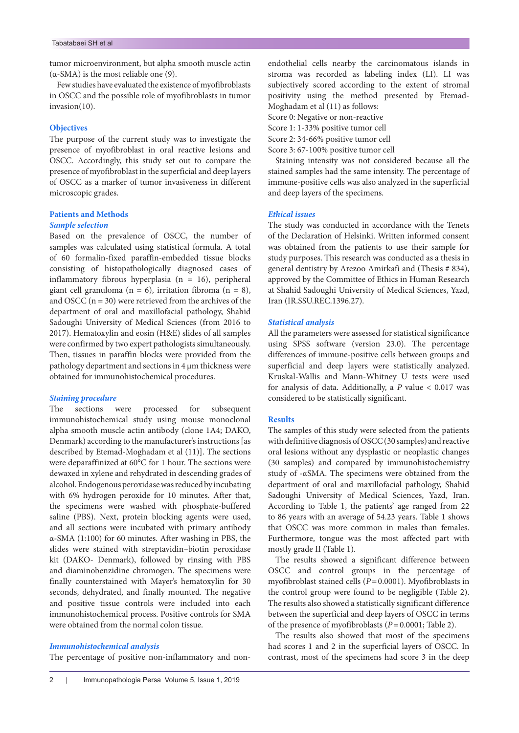tumor microenvironment, but alpha smooth muscle actin (α-SMA) is the most reliable one (9).

Few studies have evaluated the existence of myofibroblasts in OSCC and the possible role of myofibroblasts in tumor invasion(10).

# **Objectives**

The purpose of the current study was to investigate the presence of myofibroblast in oral reactive lesions and OSCC. Accordingly, this study set out to compare the presence of myofibroblast in the superficial and deep layers of OSCC as a marker of tumor invasiveness in different microscopic grades.

# **Patients and Methods**

# *Sample selection*

Based on the prevalence of OSCC, the number of samples was calculated using statistical formula. A total of 60 formalin-fixed paraffin-embedded tissue blocks consisting of histopathologically diagnosed cases of inflammatory fibrous hyperplasia (n = 16), peripheral giant cell granuloma (n = 6), irritation fibroma (n = 8), and OSCC  $(n = 30)$  were retrieved from the archives of the department of oral and maxillofacial pathology, Shahid Sadoughi University of Medical Sciences (from 2016 to 2017). Hematoxylin and eosin (H&E) slides of all samples were confirmed by two expert pathologists simultaneously. Then, tissues in paraffin blocks were provided from the pathology department and sections in 4 µm thickness were obtained for immunohistochemical procedures.

## *Staining procedure*

The sections were processed for subsequent immunohistochemical study using mouse monoclonal alpha smooth muscle actin antibody (clone 1A4; DAKO, Denmark) according to the manufacturer's instructions [as described by Etemad-Moghadam et al (11)]. The sections were deparaffinized at 60°C for 1 hour. The sections were dewaxed in xylene and rehydrated in descending grades of alcohol. Endogenous peroxidase was reduced by incubating with 6% hydrogen peroxide for 10 minutes. After that, the specimens were washed with phosphate-buffered saline (PBS). Next, protein blocking agents were used, and all sections were incubated with primary antibody α-SMA (1:100) for 60 minutes. After washing in PBS, the slides were stained with streptavidin–biotin peroxidase kit (DAKO- Denmark), followed by rinsing with PBS and diaminobenzidine chromogen. The specimens were finally counterstained with Mayer's hematoxylin for 30 seconds, dehydrated, and finally mounted. The negative and positive tissue controls were included into each immunohistochemical process. Positive controls for SMA were obtained from the normal colon tissue.

#### *Immunohistochemical analysis*

The percentage of positive non-inflammatory and non-

Score 0: Negative or non-reactive

Score 1: 1-33% positive tumor cell

Score 2: 34-66% positive tumor cell

Score 3: 67-100% positive tumor cell

Staining intensity was not considered because all the stained samples had the same intensity. The percentage of immune-positive cells was also analyzed in the superficial and deep layers of the specimens.

#### *Ethical issues*

The study was conducted in accordance with the Tenets of the Declaration of Helsinki. Written informed consent was obtained from the patients to use their sample for study purposes. This research was conducted as a thesis in general dentistry by Arezoo Amirkafi and (Thesis # 834), approved by the Committee of Ethics in Human Research at Shahid Sadoughi University of Medical Sciences, Yazd, Iran (IR.SSU.REC.1396.27).

#### *Statistical analysis*

All the parameters were assessed for statistical significance using SPSS software (version 23.0). The percentage differences of immune-positive cells between groups and superficial and deep layers were statistically analyzed. Kruskal-Wallis and Mann-Whitney U tests were used for analysis of data. Additionally, a *P* value < 0.017 was considered to be statistically significant.

#### **Results**

The samples of this study were selected from the patients with definitive diagnosis of OSCC (30 samples) and reactive oral lesions without any dysplastic or neoplastic changes (30 samples) and compared by immunohistochemistry study of -αSMA. The specimens were obtained from the department of oral and maxillofacial pathology, Shahid Sadoughi University of Medical Sciences, Yazd, Iran. According to Table 1, the patients' age ranged from 22 to 86 years with an average of 54.23 years. Table 1 shows that OSCC was more common in males than females. Furthermore, tongue was the most affected part with mostly grade II (Table 1).

The results showed a significant difference between OSCC and control groups in the percentage of myofibroblast stained cells (*P*=0.0001). Myofibroblasts in the control group were found to be negligible (Table 2). The results also showed a statistically significant difference between the superficial and deep layers of OSCC in terms of the presence of myofibroblasts (*P*=0.0001; Table 2).

The results also showed that most of the specimens had scores 1 and 2 in the superficial layers of OSCC. In contrast, most of the specimens had score 3 in the deep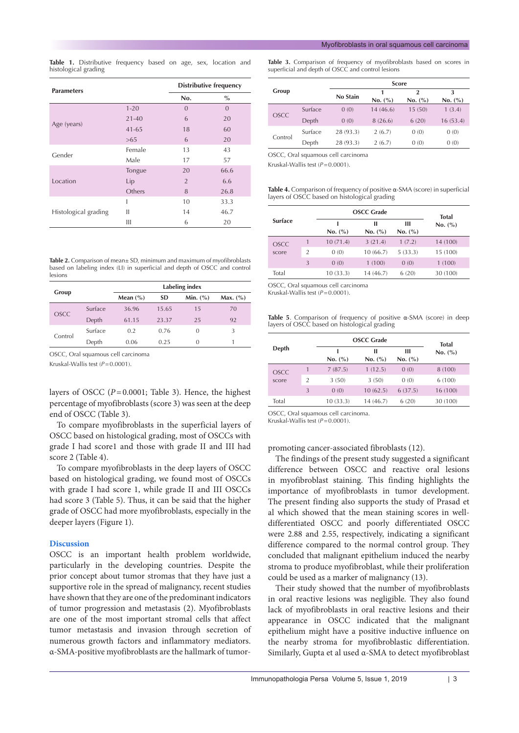**Table 1.** Distributive frequency based on age, sex, location and histological grading

| <b>Parameters</b>    | <b>Distributive frequency</b> |                |          |
|----------------------|-------------------------------|----------------|----------|
|                      | No.                           | $\%$           |          |
|                      | $1 - 20$                      | $\Omega$       | $\Omega$ |
|                      | $21 - 40$                     | 6              | 20       |
| Age (years)          | $41 - 65$                     | 18             | 60       |
|                      | >65                           | 6              | 20       |
| Gender               | Female                        | 13             | 43       |
|                      | Male                          | 17             | 57       |
|                      | Tongue                        | 20             | 66.6     |
| Location             | Lip                           | $\overline{2}$ | 6.6      |
|                      | Others                        | 8              | 26.8     |
|                      | I                             | 10             | 33.3     |
| Histological grading | Ш                             | 14             | 46.7     |
|                      | Ш                             | 6              | 20       |

**Table 2.** Comparison of mean± SD, minimum and maximum of myofibroblasts based on labeling index (LI) in superficial and depth of OSCC and control lesions

|             |         | Labeling index |           |              |              |  |
|-------------|---------|----------------|-----------|--------------|--------------|--|
| Group       |         | Mean $(\% )$   | <b>SD</b> | Min. $(\% )$ | Max. $(\% )$ |  |
| <b>OSCC</b> | Surface | 36.96          | 15.65     | 15           | 70           |  |
|             | Depth   | 61.15          | 23.37     | 25           | 92           |  |
| Control     | Surface | 0.2            | 0.76      | $\Omega$     | 3            |  |
|             | Depth   | 0.06           | 0.25      | 0            |              |  |

OSCC, Oral squamous cell carcinoma

Kruskal-Wallis test ( $P=0.0001$ ).

layers of OSCC (*P*=0.0001; Table 3). Hence, the highest percentage of myofibroblasts (score 3) was seen at the deep end of OSCC (Table 3).

To compare myofibroblasts in the superficial layers of OSCC based on histological grading, most of OSCCs with grade I had score1 and those with grade II and III had score 2 (Table 4).

To compare myofibroblasts in the deep layers of OSCC based on histological grading, we found most of OSCCs with grade I had score 1, while grade II and III OSCCs had score 3 (Table 5). Thus, it can be said that the higher grade of OSCC had more myofibroblasts, especially in the deeper layers (Figure 1).

### **Discussion**

OSCC is an important health problem worldwide, particularly in the developing countries. Despite the prior concept about tumor stromas that they have just a supportive role in the spread of malignancy, recent studies have shown that they are one of the predominant indicators of tumor progression and metastasis (2). Myofibroblasts are one of the most important stromal cells that affect tumor metastasis and invasion through secretion of numerous growth factors and inflammatory mediators. α-SMA-positive myofibroblasts are the hallmark of tumor**Table 3.** Comparison of frequency of myofibroblasts based on scores in superficial and depth of OSCC and control lesions

|             |         | <b>Score</b> |              |                         |              |
|-------------|---------|--------------|--------------|-------------------------|--------------|
| Group       |         | No Stain     | 1<br>No. (%) | $\mathbf{2}$<br>No. (%) | 3<br>No. (%) |
| <b>OSCC</b> | Surface | 0(0)         | 14(46.6)     | 15(50)                  | 1(3.4)       |
|             | Depth   | 0(0)         | 8(26.6)      | 6(20)                   | 16(53.4)     |
| Control     | Surface | 28 (93.3)    | 2(6.7)       | 0(0)                    | 0(0)         |
|             | Depth   | 28 (93.3)    | 2(6.7)       | 0(0)                    | 0(0)         |

OSCC, Oral squamous cell carcinoma

Kruskal-Wallis test (*P*=0.0001).

**Table 4.** Comparison of frequency of positive α-SMA (score) in superficial layers of OSCC based on histological grading

|                      |                | <b>OSCC Grade</b> | <b>Total</b> |              |          |
|----------------------|----------------|-------------------|--------------|--------------|----------|
| <b>Surface</b>       |                | No. (%)           | п<br>No. (%) | ш<br>No. (%) | No. (%)  |
| <b>OSCC</b><br>score |                | 10(71.4)          | 3(21.4)      | 1(7.2)       | 14 (100) |
|                      | $\overline{2}$ | 0(0)              | 10(66.7)     | 5(33.3)      | 15 (100) |
|                      | 3              | 0(0)              | 1(100)       | 0(0)         | 1(100)   |
| Total                |                | 10 (33.3)         | 14 (46.7)    | 6(20)        | 30 (100) |

OSCC, Oral squamous cell carcinoma

Kruskal-Wallis test ( $P=0.0001$ ).

**Table 5**. Comparison of frequency of positive α-SMA (score) in deep layers of OSCC based on histological grading

|                      |                |           | <b>OSCC Grade</b> |              |                         |
|----------------------|----------------|-----------|-------------------|--------------|-------------------------|
| Depth                |                | No. (%)   | п<br>No. (%)      | ш<br>No. (%) | <b>Total</b><br>No. (%) |
| <b>OSCC</b><br>score | 1              | 7(87.5)   | 1(12.5)           | 0(0)         | 8 (100)                 |
|                      | $\overline{2}$ | 3(50)     | 3(50)             | 0(0)         | 6 (100)                 |
|                      | 3              | 0(0)      | 10(62.5)          | 6(37.5)      | 16 (100)                |
| Total                |                | 10 (33.3) | 14 (46.7)         | 6(20)        | 30 (100)                |

OSCC, Oral squamous cell carcinoma.

Kruskal-Wallis test ( $P=0.0001$ ).

promoting cancer-associated fibroblasts (12).

The findings of the present study suggested a significant difference between OSCC and reactive oral lesions in myofibroblast staining. This finding highlights the importance of myofibroblasts in tumor development. The present finding also supports the study of Prasad et al which showed that the mean staining scores in welldifferentiated OSCC and poorly differentiated OSCC were 2.88 and 2.55, respectively, indicating a significant difference compared to the normal control group. They concluded that malignant epithelium induced the nearby stroma to produce myofibroblast, while their proliferation could be used as a marker of malignancy (13).

Their study showed that the number of myofibroblasts in oral reactive lesions was negligible. They also found lack of myofibroblasts in oral reactive lesions and their appearance in OSCC indicated that the malignant epithelium might have a positive inductive influence on the nearby stroma for myofibroblastic differentiation. Similarly, Gupta et al used α-SMA to detect myofibroblast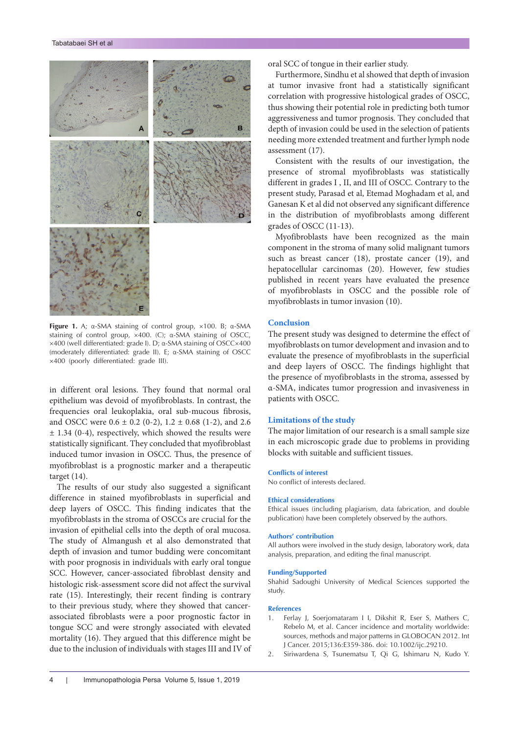

**Figure 1.** A; α-SMA staining of control group, ×100. B; α-SMA staining of control group, ×400. (C); α-SMA staining of OSCC, ×400 (well differentiated: grade I). D; α-SMA staining of OSCC×400 (moderately differentiated: grade II). E; α-SMA staining of OSCC ×400 (poorly differentiated: grade III).

in different oral lesions. They found that normal oral epithelium was devoid of myofibroblasts. In contrast, the frequencies oral leukoplakia, oral sub-mucous fibrosis, and OSCC were  $0.6 \pm 0.2$  (0-2),  $1.2 \pm 0.68$  (1-2), and 2.6 ± 1.34 (0-4), respectively, which showed the results were statistically significant. They concluded that myofibroblast induced tumor invasion in OSCC. Thus, the presence of myofibroblast is a prognostic marker and a therapeutic target (14).

The results of our study also suggested a significant difference in stained myofibroblasts in superficial and deep layers of OSCC. This finding indicates that the myofibroblasts in the stroma of OSCCs are crucial for the invasion of epithelial cells into the depth of oral mucosa. The study of Almangush et al also demonstrated that depth of invasion and tumor budding were concomitant with poor prognosis in individuals with early oral tongue SCC. However, cancer-associated fibroblast density and histologic risk-assessment score did not affect the survival rate (15). Interestingly, their recent finding is contrary to their previous study, where they showed that cancerassociated fibroblasts were a poor prognostic factor in tongue SCC and were strongly associated with elevated mortality (16). They argued that this difference might be due to the inclusion of individuals with stages III and IV of oral SCC of tongue in their earlier study.

Furthermore, Sindhu et al showed that depth of invasion at tumor invasive front had a statistically significant correlation with progressive histological grades of OSCC, thus showing their potential role in predicting both tumor aggressiveness and tumor prognosis. They concluded that depth of invasion could be used in the selection of patients needing more extended treatment and further lymph node assessment (17).

Consistent with the results of our investigation, the presence of stromal myofibroblasts was statistically different in grades I , II, and III of OSCC. Contrary to the present study, Parasad et al, Etemad Moghadam et al, and Ganesan K et al did not observed any significant difference in the distribution of myofibroblasts among different grades of OSCC (11-13).

Myofibroblasts have been recognized as the main component in the stroma of many solid malignant tumors such as breast cancer (18), prostate cancer (19), and hepatocellular carcinomas (20). However, few studies published in recent years have evaluated the presence of myofibroblasts in OSCC and the possible role of myofibroblasts in tumor invasion (10).

# **Conclusion**

The present study was designed to determine the effect of myofibroblasts on tumor development and invasion and to evaluate the presence of myofibroblasts in the superficial and deep layers of OSCC. The findings highlight that the presence of myofibroblasts in the stroma, assessed by α-SMA, indicates tumor progression and invasiveness in patients with OSCC.

#### **Limitations of the study**

The major limitation of our research is a small sample size in each microscopic grade due to problems in providing blocks with suitable and sufficient tissues.

#### **Conflicts of interest**

No conflict of interests declared.

#### **Ethical considerations**

Ethical issues (including plagiarism, data fabrication, and double publication) have been completely observed by the authors.

#### **Authors' contribution**

All authors were involved in the study design, laboratory work, data analysis, preparation, and editing the final manuscript.

#### **Funding/Supported**

Shahid Sadoughi University of Medical Sciences supported the study.

#### **References**

- 1. Ferlay J, Soerjomataram I I, Dikshit R, Eser S, Mathers C, Rebelo M, et al. Cancer incidence and mortality worldwide: sources, methods and major patterns in GLOBOCAN 2012. Int J Cancer. 2015;136:E359-386. doi: 10.1002/ijc.29210.
- 2. Siriwardena S, Tsunematsu T, Qi G, Ishimaru N, Kudo Y.